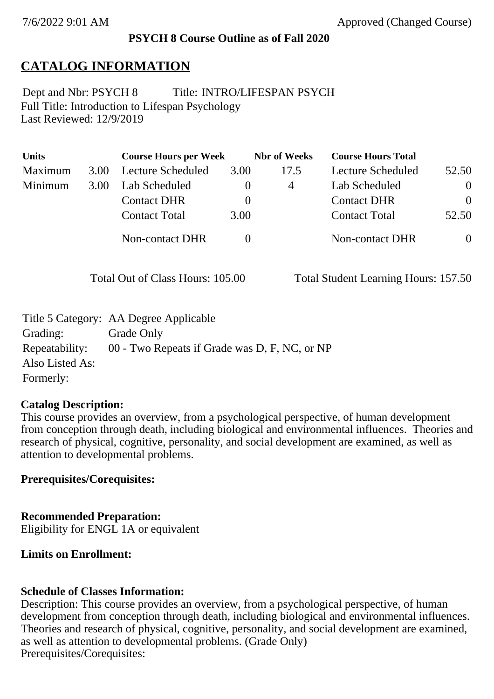#### **PSYCH 8 Course Outline as of Fall 2020**

### **CATALOG INFORMATION**

Full Title: Introduction to Lifespan Psychology Last Reviewed: 12/9/2019 Dept and Nbr: PSYCH 8 Title: INTRO/LIFESPAN PSYCH

| <b>Units</b> |      | <b>Course Hours per Week</b> |          | <b>Nbr</b> of Weeks | <b>Course Hours Total</b> |          |
|--------------|------|------------------------------|----------|---------------------|---------------------------|----------|
| Maximum      | 3.00 | <b>Lecture Scheduled</b>     | 3.00     | 17.5                | Lecture Scheduled         | 52.50    |
| Minimum      | 3.00 | Lab Scheduled                | $\theta$ | 4                   | Lab Scheduled             | $\theta$ |
|              |      | <b>Contact DHR</b>           | $\theta$ |                     | <b>Contact DHR</b>        | $\Omega$ |
|              |      | <b>Contact Total</b>         | 3.00     |                     | <b>Contact Total</b>      | 52.50    |
|              |      | Non-contact DHR              |          |                     | <b>Non-contact DHR</b>    | $\theta$ |

Total Out of Class Hours: 105.00 Total Student Learning Hours: 157.50

|                 | Title 5 Category: AA Degree Applicable        |
|-----------------|-----------------------------------------------|
| Grading:        | Grade Only                                    |
| Repeatability:  | 00 - Two Repeats if Grade was D, F, NC, or NP |
| Also Listed As: |                                               |
| Formerly:       |                                               |

#### **Catalog Description:**

This course provides an overview, from a psychological perspective, of human development from conception through death, including biological and environmental influences. Theories and research of physical, cognitive, personality, and social development are examined, as well as attention to developmental problems.

#### **Prerequisites/Corequisites:**

**Recommended Preparation:** Eligibility for ENGL 1A or equivalent

#### **Limits on Enrollment:**

#### **Schedule of Classes Information:**

Description: This course provides an overview, from a psychological perspective, of human development from conception through death, including biological and environmental influences. Theories and research of physical, cognitive, personality, and social development are examined, as well as attention to developmental problems. (Grade Only) Prerequisites/Corequisites: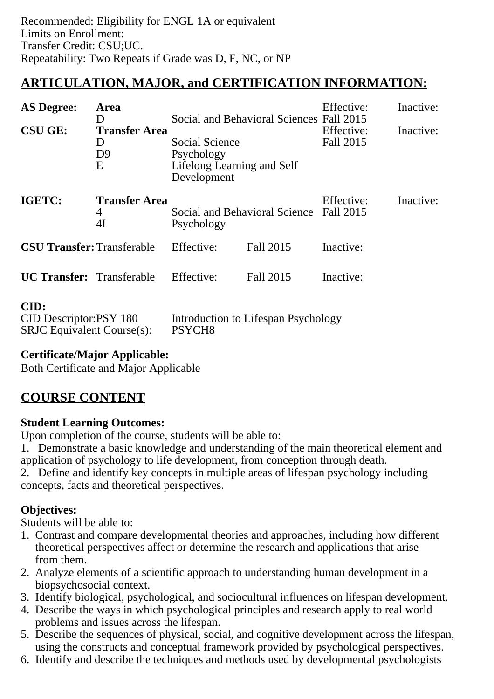# **ARTICULATION, MAJOR, and CERTIFICATION INFORMATION:**

| <b>AS Degree:</b>                                                   | Area<br>D                                        |                                                                           | Social and Behavioral Sciences Fall 2015 | Effective:              | Inactive: |
|---------------------------------------------------------------------|--------------------------------------------------|---------------------------------------------------------------------------|------------------------------------------|-------------------------|-----------|
| <b>CSU GE:</b>                                                      | <b>Transfer Area</b><br>D<br>D <sub>9</sub><br>E | Social Science<br>Psychology<br>Lifelong Learning and Self<br>Development |                                          | Effective:<br>Fall 2015 | Inactive: |
| IGETC:                                                              | <b>Transfer Area</b><br>4<br>4I                  | Psychology                                                                | Social and Behavioral Science Fall 2015  | Effective:              | Inactive: |
| <b>CSU Transfer: Transferable</b>                                   |                                                  | Effective:                                                                | Fall 2015                                | Inactive:               |           |
| <b>UC Transfer:</b> Transferable                                    |                                                  | Effective:                                                                | Fall 2015                                | Inactive:               |           |
| CID:<br>CID Descriptor:PSY 180<br><b>SRJC</b> Equivalent Course(s): |                                                  | Introduction to Lifespan Psychology<br>PSYCH <sub>8</sub>                 |                                          |                         |           |

### **Certificate/Major Applicable:**

[Both Certificate and Major Applicable](SR_ClassCheck.aspx?CourseKey=PSYCH8)

## **COURSE CONTENT**

#### **Student Learning Outcomes:**

Upon completion of the course, students will be able to:

1. Demonstrate a basic knowledge and understanding of the main theoretical element and application of psychology to life development, from conception through death.

2. Define and identify key concepts in multiple areas of lifespan psychology including concepts, facts and theoretical perspectives.

### **Objectives:**

Students will be able to:

- 1. Contrast and compare developmental theories and approaches, including how different theoretical perspectives affect or determine the research and applications that arise from them.
- 2. Analyze elements of a scientific approach to understanding human development in a biopsychosocial context.
- 3. Identify biological, psychological, and sociocultural influences on lifespan development.
- 4. Describe the ways in which psychological principles and research apply to real world problems and issues across the lifespan.
- 5. Describe the sequences of physical, social, and cognitive development across the lifespan, using the constructs and conceptual framework provided by psychological perspectives.
- 6. Identify and describe the techniques and methods used by developmental psychologists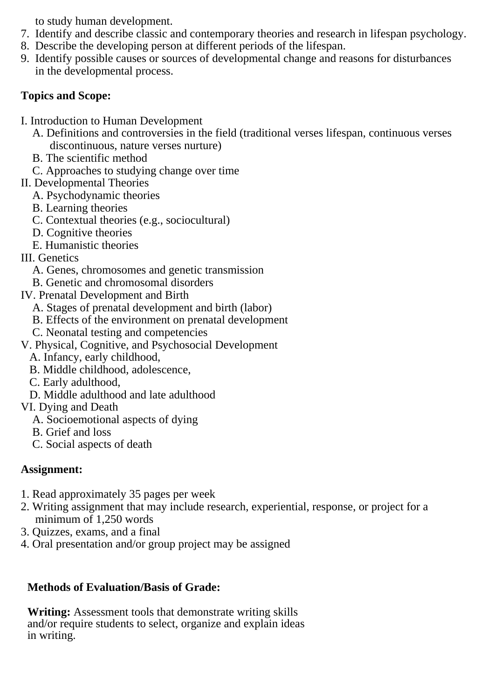to study human development.

- 7. Identify and describe classic and contemporary theories and research in lifespan psychology.
- 8. Describe the developing person at different periods of the lifespan.
- 9. Identify possible causes or sources of developmental change and reasons for disturbances in the developmental process.

### **Topics and Scope:**

- I. Introduction to Human Development
	- A. Definitions and controversies in the field (traditional verses lifespan, continuous verses discontinuous, nature verses nurture)
	- B. The scientific method
	- C. Approaches to studying change over time
- II. Developmental Theories
	- A. Psychodynamic theories
	- B. Learning theories
	- C. Contextual theories (e.g., sociocultural)
	- D. Cognitive theories
	- E. Humanistic theories
- III. Genetics
	- A. Genes, chromosomes and genetic transmission
	- B. Genetic and chromosomal disorders
- IV. Prenatal Development and Birth
	- A. Stages of prenatal development and birth (labor)
	- B. Effects of the environment on prenatal development
	- C. Neonatal testing and competencies
- V. Physical, Cognitive, and Psychosocial Development
	- A. Infancy, early childhood,
	- B. Middle childhood, adolescence,
	- C. Early adulthood,
	- D. Middle adulthood and late adulthood
- VI. Dying and Death
	- A. Socioemotional aspects of dying
	- B. Grief and loss
	- C. Social aspects of death

## **Assignment:**

- 1. Read approximately 35 pages per week
- 2. Writing assignment that may include research, experiential, response, or project for a minimum of 1,250 words
- 3. Quizzes, exams, and a final
- 4. Oral presentation and/or group project may be assigned

## **Methods of Evaluation/Basis of Grade:**

**Writing:** Assessment tools that demonstrate writing skills and/or require students to select, organize and explain ideas in writing.